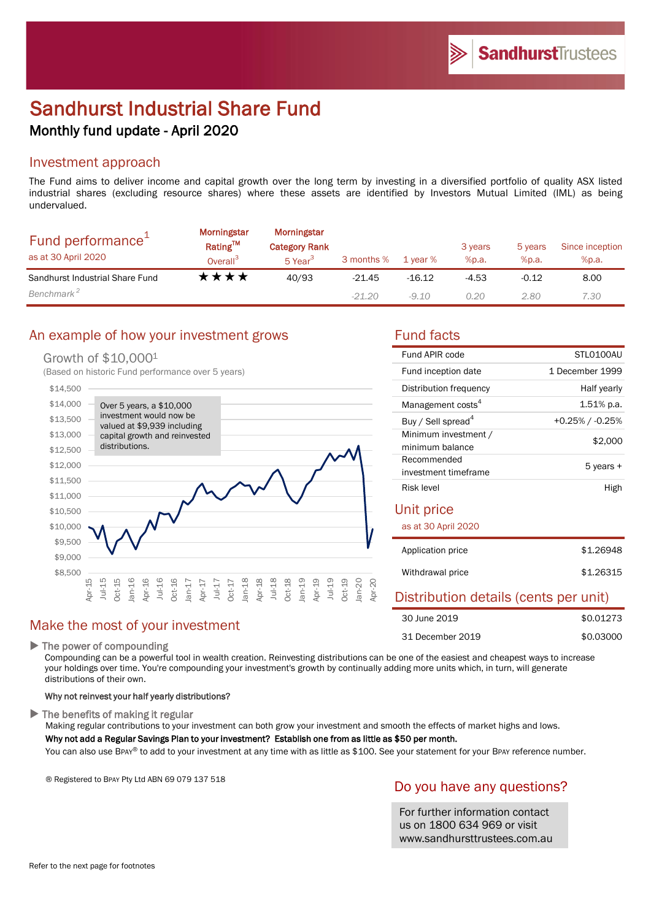# Sandhurst Industrial Share Fund Monthly fund update - April 2020

#### Investment approach

The Fund aims to deliver income and capital growth over the long term by investing in a diversified portfolio of quality ASX listed industrial shares (excluding resource shares) where these assets are identified by Investors Mutual Limited (IML) as being undervalued.

| Fund performance <sup>+</sup><br>as at 30 April 2020 | <b>Morningstar</b><br>Rating™<br>Overall <sup>3</sup> | <b>Morningstar</b><br><b>Category Rank</b><br>5 Year <sup>3</sup> | 3 months % | 1 year % | 3 years<br>%p.a. | 5 years<br>%p.a. | Since inception<br>%p.a. |
|------------------------------------------------------|-------------------------------------------------------|-------------------------------------------------------------------|------------|----------|------------------|------------------|--------------------------|
| Sandhurst Industrial Share Fund                      | ****                                                  | 40/93                                                             | $-21.45$   | -16.12   | $-4.53$          | $-0.12$          | 8.00                     |
| Benchmark <sup>2</sup>                               |                                                       |                                                                   | $-21.20$   | -9.10    | 0.20             | 2.80             | 7.30                     |

# An example of how your investment grows Fund facts

#### Growth of \$10,000<sup>1</sup>

(Based on historic Fund performance over 5 years)



# Make the most of your investment

#### $\blacktriangleright$  The power of compounding

Compounding can be a powerful tool in wealth creation. Reinvesting distributions can be one of the easiest and cheapest ways to increase your holdings over time. You're compounding your investment's growth by continually adding more units which, in turn, will generate distributions of their own.

#### Why not reinvest your half yearly distributions?

The benefits of making it regular

Making regular contributions to your investment can both grow your investment and smooth the effects of market highs and lows. Why not add a Regular Savings Plan to your investment? Establish one from as little as \$50 per month.

You can also use BPAY® to add to your investment at any time with as little as \$100. See your statement for your BPAY reference number.

® Registered to BPAY Pty Ltd ABN 69 079 137 518

# Do you have any questions?

For further information contact us on 1800 634 969 or visit www.sandhursttrustees.com.au

| Fund APIR code                 | STI 0100AU            |  |
|--------------------------------|-----------------------|--|
| Fund inception date            | 1 December 1999       |  |
| Distribution frequency         | Half yearly           |  |
| Management costs <sup>4</sup>  | $1.51\%$ p.a.         |  |
| Buy / Sell spread <sup>4</sup> | $+0.25\%$ / $-0.25\%$ |  |
| Minimum investment /           | \$2,000               |  |
| minimum balance                |                       |  |
| Recommended                    | 5 years +             |  |
| investment timeframe           |                       |  |
| Risk level                     | High                  |  |

#### Unit price

as at 30 April 2020

| Application price | \$1,26948 |
|-------------------|-----------|
| Withdrawal price  | \$1,26315 |

# Distribution details (cents per unit)

| 30 June 2019     | \$0.01273 |
|------------------|-----------|
| 31 December 2019 | \$0.03000 |